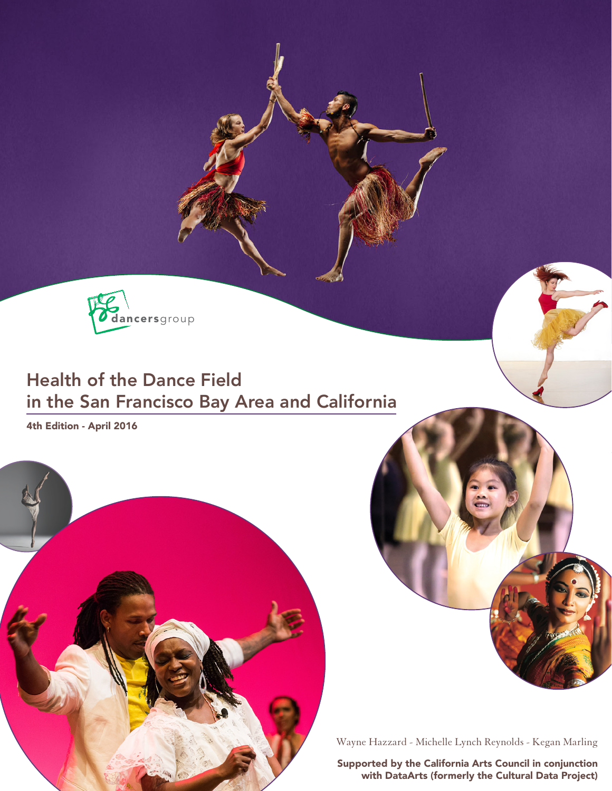dancersgroup

# Health of the Dance Field in the San Francisco Bay Area and California

4th Edition - April 2016



Wayne Hazzard - Michelle Lynch Reynolds - Kegan Marling

Supported by the California Arts Council in conjunction with DataArts (formerly the Cultural Data Project)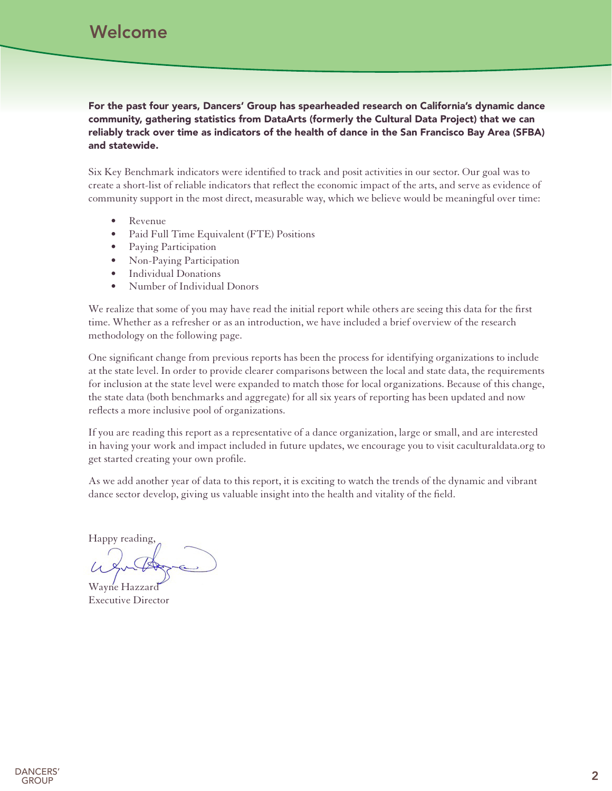## Welcome

For the past four years, Dancers' Group has spearheaded research on California's dynamic dance community, gathering statistics from DataArts (formerly the Cultural Data Project) that we can reliably track over time as indicators of the health of dance in the San Francisco Bay Area (SFBA) and statewide.

Six Key Benchmark indicators were identified to track and posit activities in our sector. Our goal was to create a short-list of reliable indicators that reflect the economic impact of the arts, and serve as evidence of community support in the most direct, measurable way, which we believe would be meaningful over time:

- • Revenue
- Paid Full Time Equivalent (FTE) Positions
- Paying Participation
- Non-Paying Participation
- • Individual Donations
- • Number of Individual Donors

We realize that some of you may have read the initial report while others are seeing this data for the first time. Whether as a refresher or as an introduction, we have included a brief overview of the research methodology on the following page.

One significant change from previous reports has been the process for identifying organizations to include at the state level. In order to provide clearer comparisons between the local and state data, the requirements for inclusion at the state level were expanded to match those for local organizations. Because of this change, the state data (both benchmarks and aggregate) for all six years of reporting has been updated and now reflects a more inclusive pool of organizations.

If you are reading this report as a representative of a dance organization, large or small, and are interested in having your work and impact included in future updates, we encourage you to visit [caculturaldata.org](http://www.caculturaldata.org) to get started creating your own profile.

As we add another year of data to this report, it is exciting to watch the trends of the dynamic and vibrant dance sector develop, giving us valuable insight into the health and vitality of the field.

Happy reading,

Wayne Hazzard Executive Director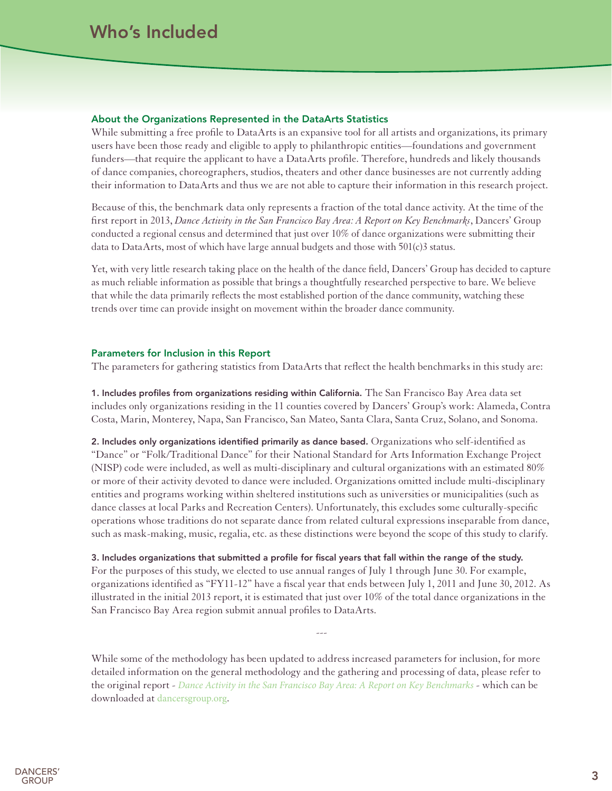#### About the Organizations Represented in the DataArts Statistics

While submitting a free profile to DataArts is an expansive tool for all artists and organizations, its primary users have been those ready and eligible to apply to philanthropic entities—foundations and government funders—that require the applicant to have a DataArts profile. Therefore, hundreds and likely thousands of dance companies, choreographers, studios, theaters and other dance businesses are not currently adding their information to DataArts and thus we are not able to capture their information in this research project.

Because of this, the benchmark data only represents a fraction of the total dance activity. At the time of the first report in 2013, *[Dance Activity in the San Francisco Bay Area: A Report on Key Benchmarks](http://www.dancersgroup.org/research)*, Dancers' Group conducted a regional census and determined that just over 10% of dance organizations were submitting their data to DataArts, most of which have large annual budgets and those with 501(c)3 status.

Yet, with very little research taking place on the health of the dance field, Dancers' Group has decided to capture as much reliable information as possible that brings a thoughtfully researched perspective to bare. We believe that while the data primarily reflects the most established portion of the dance community, watching these trends over time can provide insight on movement within the broader dance community.

### Parameters for Inclusion in this Report

The parameters for gathering statistics from DataArts that reflect the health benchmarks in this study are:

1. Includes profiles from organizations residing within California. The San Francisco Bay Area data set includes only organizations residing in the 11 counties covered by Dancers' Group's work: Alameda, Contra Costa, Marin, Monterey, Napa, San Francisco, San Mateo, Santa Clara, Santa Cruz, Solano, and Sonoma.

2. Includes only organizations identified primarily as dance based. Organizations who self-identified as "Dance" or "Folk/Traditional Dance" for their National Standard for Arts Information Exchange Project (NISP) code were included, as well as multi-disciplinary and cultural organizations with an estimated 80% or more of their activity devoted to dance were included. Organizations omitted include multi-disciplinary entities and programs working within sheltered institutions such as universities or municipalities (such as dance classes at local Parks and Recreation Centers). Unfortunately, this excludes some culturally-specific operations whose traditions do not separate dance from related cultural expressions inseparable from dance, such as mask-making, music, regalia, etc. as these distinctions were beyond the scope of this study to clarify.

### 3. Includes organizations that submitted a profile for fiscal years that fall within the range of the study.

For the purposes of this study, we elected to use annual ranges of July 1 through June 30. For example, organizations identified as "FY11-12" have a fiscal year that ends between July 1, 2011 and June 30, 2012. As illustrated in the initial 2013 report, it is estimated that just over 10% of the total dance organizations in the San Francisco Bay Area region submit annual profiles to DataArts.

---

While some of the methodology has been updated to address increased parameters for inclusion, for more detailed information on the general methodology and the gathering and processing of data, please refer to the original report - *[Dance Activity in the San Francisco Bay Area: A Report on Key Benchmarks](http://dancersgroup.org/research/)* - which can be downloaded at [dancersgroup.org](http://www.dancersgroup.org).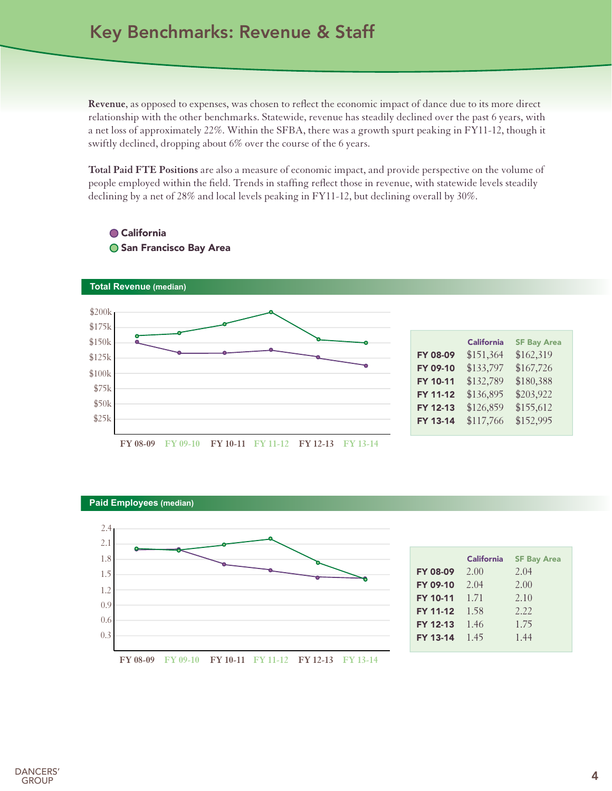## Key Benchmarks: Revenue & Staff

**Revenue**, as opposed to expenses, was chosen to reflect the economic impact of dance due to its more direct relationship with the other benchmarks. Statewide, revenue has steadily declined over the past 6 years, with a net loss of approximately 22%. Within the SFBA, there was a growth spurt peaking in FY11-12, though it swiftly declined, dropping about 6% over the course of the 6 years.

**Total Paid FTE Positions** are also a measure of economic impact, and provide perspective on the volume of people employed within the field. Trends in staffing reflect those in revenue, with statewide levels steadily declining by a net of 28% and local levels peaking in FY11-12, but declining overall by 30%.



## **● California O San Francisco Bay Area**





|                 | <b>California</b> | <b>SF Bay Area</b> |
|-----------------|-------------------|--------------------|
| <b>FY 08-09</b> | 2.00              | 2.04               |
| <b>FY 09-10</b> | 2.04              | 2.00               |
| <b>FY 10-11</b> | 1.71              | 2.10               |
| <b>FY 11-12</b> | 1.58              | 2.22               |
| FY 12-13        | 1.46              | 1.75               |
| FY 13-14        | -1.45             | 1.44               |

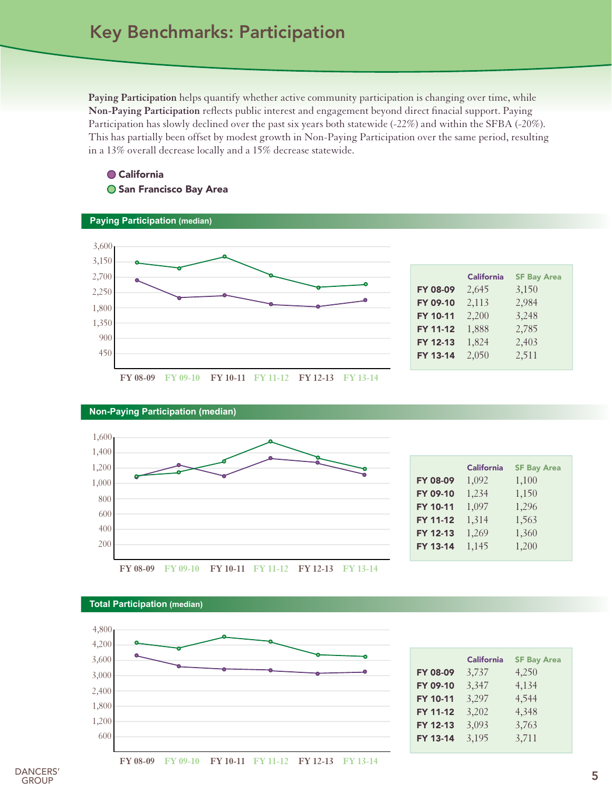**Paying Participation** helps quantify whether active community participation is changing over time, while **Non-Paying Participation** reflects public interest and engagement beyond direct finacial support. Paying Participation has slowly declined over the past six years both statewide (-22%) and within the SFBA (-20%). This has partially been offset by modest growth in Non-Paying Participation over the same period, resulting in a 13% overall decrease locally and a 15% decrease statewide.

### **● California O San Francisco Bay Area**



| <b>Non-Paying Participation (median)</b> |  |
|------------------------------------------|--|
| 1,600                                    |  |
| 1,400                                    |  |
| 1,200                                    |  |
| 1,000                                    |  |
| 800                                      |  |
| 600                                      |  |
| 400                                      |  |
| 200                                      |  |
|                                          |  |

|                 | <b>California</b> | <b>SF Bay Area</b> |
|-----------------|-------------------|--------------------|
| <b>FY 08-09</b> | 1,092             | 1,100              |
| FY 09-10        | 1,234             | 1,150              |
| <b>FY 10-11</b> | 1,097             | 1,296              |
| FY 11-12        | 1,314             | 1,563              |
| FY 12-13        | 1,269             | 1,360              |
| FY 13-14        | 1,145             | 1,200              |
|                 |                   |                    |





600 1,200 1,800 2,400 3,000 3,600 4,200 4,800

|                 | <b>California</b> | <b>SF Bay Area</b> |
|-----------------|-------------------|--------------------|
| <b>FY 08-09</b> | 3,737             | 4,250              |
| FY 09-10        | 3,347             | 4,134              |
| FY 10-11        | 3,297             | 4,544              |
| <b>FY 11-12</b> | 3,202             | 4,348              |
| FY 12-13        | 3,093             | 3,763              |
| FY 13-14        | 3,195             | 3,711              |

**FY 08-09 FY 09-10 FY 10-11 FY 11-12 FY 12-13 FY 13-14**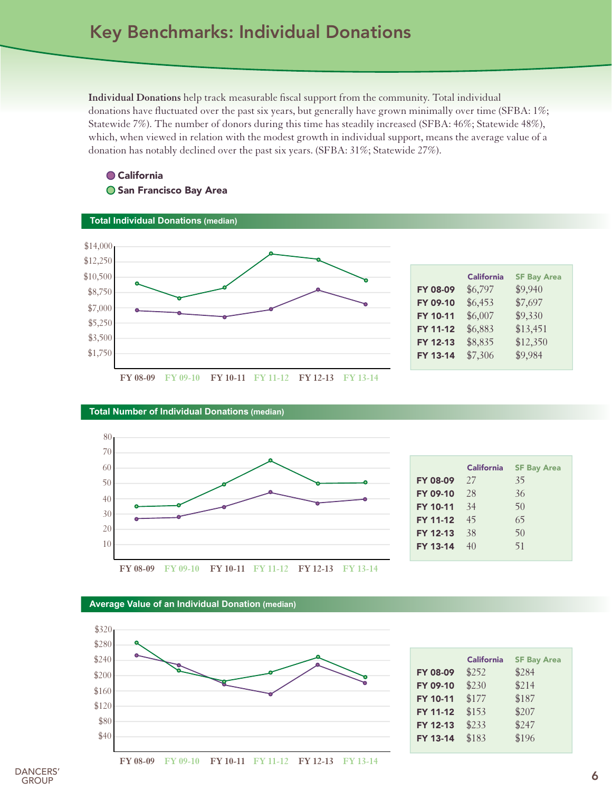**Individual Donations** help track measurable fiscal support from the community. Total individual donations have fluctuated over the past six years, but generally have grown minimally over time (SFBA: 1%; Statewide 7%). The number of donors during this time has steadily increased (SFBA: 46%; Statewide 48%), which, when viewed in relation with the modest growth in individual support, means the average value of a donation has notably declined over the past six years. (SFBA: 31%; Statewide 27%).

### ● California **O San Francisco Bay Area**





|                 | <b>California</b> | <b>SF Bay Area</b> |
|-----------------|-------------------|--------------------|
| <b>FY 08-09</b> | \$6,797           | \$9,940            |
| FY 09-10        | \$6,453           | \$7,697            |
| <b>FY 10-11</b> | \$6,007           | \$9,330            |
| <b>FY 11-12</b> | \$6,883           | \$13,451           |
| FY 12-13        | \$8,835           | \$12,350           |
| FY 13-14        | \$7,306           | \$9,984            |







|                 | <b>California</b> | <b>SF Bay Area</b> |
|-----------------|-------------------|--------------------|
| <b>FY 08-09</b> | 27                | 35                 |
| <b>FY 09-10</b> | 28                | 36                 |
| <b>FY 10-11</b> | 34                | 50                 |
| <b>FY 11-12</b> | 45                | 65                 |
| FY 12-13        | 38                | 50                 |
| FY 13-14        | 40                | 51                 |
|                 |                   |                    |



#### **Average Value of an Individual Donation (median)**



|                 | <b>California</b> | <b>SF Bay Area</b> |
|-----------------|-------------------|--------------------|
| <b>FY 08-09</b> | \$252             | \$284              |
| FY 09-10        | \$230             | \$214              |
| <b>FY 10-11</b> | \$177             | \$187              |
| <b>FY 11-12</b> | \$153             | \$207              |
| FY 12-13        | \$233             | \$247              |
| <b>FY 13-14</b> | \$183             | \$196              |

**FY 08-09 FY 09-10 FY 10-11 FY 11-12 FY 12-13 FY 13-14**

DANCERS' **GROUP**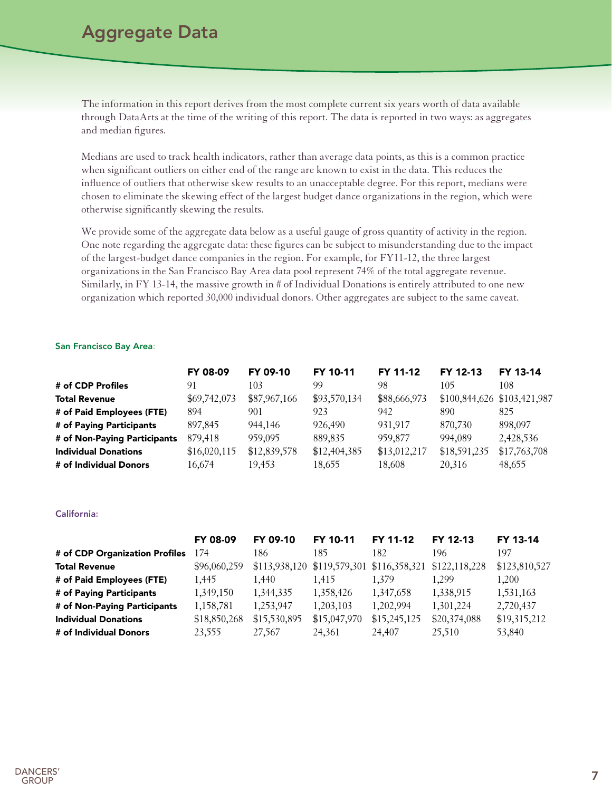## Aggregate Data

The information in this report derives from the most complete current six years worth of data available through DataArts at the time of the writing of this report. The data is reported in two ways: as aggregates and median figures.

Medians are used to track health indicators, rather than average data points, as this is a common practice when significant outliers on either end of the range are known to exist in the data. This reduces the influence of outliers that otherwise skew results to an unacceptable degree. For this report, medians were chosen to eliminate the skewing effect of the largest budget dance organizations in the region, which were otherwise significantly skewing the results.

We provide some of the aggregate data below as a useful gauge of gross quantity of activity in the region. One note regarding the aggregate data: these figures can be subject to misunderstanding due to the impact of the largest-budget dance companies in the region. For example, for FY11-12, the three largest organizations in the San Francisco Bay Area data pool represent 74% of the total aggregate revenue. Similarly, in FY 13-14, the massive growth in # of Individual Donations is entirely attributed to one new organization which reported 30,000 individual donors. Other aggregates are subject to the same caveat.

#### San Francisco Bay Area:

|                              | FY 08-09     | FY 09-10     | FY 10-11     | FY 11-12     | FY 12-13                      | FY 13-14     |
|------------------------------|--------------|--------------|--------------|--------------|-------------------------------|--------------|
| # of CDP Profiles            | 91           | 103          | 99           | 98           | 105                           | 108          |
| <b>Total Revenue</b>         | \$69,742,073 | \$87,967,166 | \$93,570,134 | \$88,666,973 | $$100,844,626$ $$103,421,987$ |              |
| # of Paid Employees (FTE)    | 894          | 901          | 923          | 942          | 890                           | 825          |
| # of Paying Participants     | 897,845      | 944.146      | 926,490      | 931.917      | 870,730                       | 898,097      |
| # of Non-Paying Participants | 879,418      | 959,095      | 889,835      | 959,877      | 994,089                       | 2,428,536    |
| <b>Individual Donations</b>  | \$16,020,115 | \$12,839,578 | \$12,404,385 | \$13,012,217 | \$18,591,235                  | \$17,763,708 |
| # of Individual Donors       | 16.674       | 19.453       | 18.655       | 18,608       | 20,316                        | 48,655       |

#### California:

|                                | FY 08-09     | FY 09-10      | FY 10-11      | FY 11-12      | FY 12-13      | FY 13-14      |
|--------------------------------|--------------|---------------|---------------|---------------|---------------|---------------|
| # of CDP Organization Profiles | 174          | 186           | 185           | 182           | 196           | 197           |
| <b>Total Revenue</b>           | \$96,060,259 | \$113,938,120 | \$119,579,301 | \$116,358,321 | \$122,118,228 | \$123,810,527 |
| # of Paid Employees (FTE)      | 1.445        | 1.440         | 1.415         | 1.379         | 1.299         | 1.200         |
| # of Paying Participants       | 1,349,150    | 1,344,335     | 1,358,426     | 1,347,658     | 1,338,915     | 1,531,163     |
| # of Non-Paying Participants   | 1,158,781    | 1,253,947     | 1,203,103     | 1,202,994     | 1,301,224     | 2,720,437     |
| <b>Individual Donations</b>    | \$18,850,268 | \$15,530,895  | \$15,047,970  | \$15,245,125  | \$20,374,088  | \$19,315,212  |
| # of Individual Donors         | 23,555       | 27.567        | 24.361        | 24,407        | 25,510        | 53,840        |